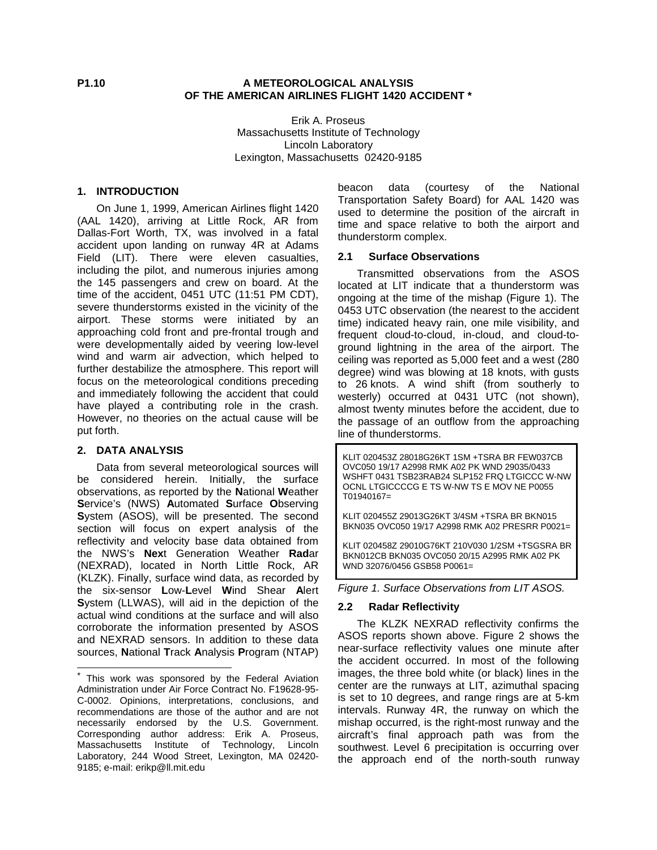# **P1.10 A METEOROLOGICAL ANALYSIS OF THE AMERICAN AIRLINES FLIGHT 1420 ACCIDENT \***

Erik A. Proseus Massachusetts Institute of Technology Lincoln Laboratory Lexington, Massachusetts 02420-9185

## **1. INTRODUCTION**

On June 1, 1999, American Airlines flight 1420 (AAL 1420), arriving at Little Rock, AR from Dallas-Fort Worth, TX, was involved in a fatal accident upon landing on runway 4R at Adams Field (LIT). There were eleven casualties, including the pilot, and numerous injuries among the 145 passengers and crew on board. At the time of the accident, 0451 UTC (11:51 PM CDT), severe thunderstorms existed in the vicinity of the airport. These storms were initiated by an approaching cold front and pre-frontal trough and were developmentally aided by veering low-level wind and warm air advection, which helped to further destabilize the atmosphere. This report will focus on the meteorological conditions preceding and immediately following the accident that could have played a contributing role in the crash. However, no theories on the actual cause will be put forth.

#### **2. DATA ANALYSIS**

 $\overline{a}$ 

Data from several meteorological sources will be considered herein. Initially, the surface observations, as reported by the **N**ational **W**eather **S**ervice's (NWS) **A**utomated **S**urface **O**bserving **S**ystem (ASOS), will be presented. The second section will focus on expert analysis of the reflectivity and velocity base data obtained from the NWS's **Nex**t Generation Weather **Rad**ar (NEXRAD), located in North Little Rock, AR (KLZK). Finally, surface wind data, as recorded by the six-sensor **L**ow-**L**evel **W**ind Shear **A**lert **S**ystem (LLWAS), will aid in the depiction of the actual wind conditions at the surface and will also corroborate the information presented by ASOS and NEXRAD sensors. In addition to these data sources, **N**ational **T**rack **A**nalysis **P**rogram (NTAP)

beacon data (courtesy of the National Transportation Safety Board) for AAL 1420 was used to determine the position of the aircraft in time and space relative to both the airport and thunderstorm complex.

# **2.1 Surface Observations**

Transmitted observations from the ASOS located at LIT indicate that a thunderstorm was ongoing at the time of the mishap (Figure 1). The 0453 UTC observation (the nearest to the accident time) indicated heavy rain, one mile visibility, and frequent cloud-to-cloud, in-cloud, and cloud-toground lightning in the area of the airport. The ceiling was reported as 5,000 feet and a west (280 degree) wind was blowing at 18 knots, with gusts to 26 knots. A wind shift (from southerly to westerly) occurred at 0431 UTC (not shown), almost twenty minutes before the accident, due to the passage of an outflow from the approaching line of thunderstorms.

KLIT 020453Z 28018G26KT 1SM +TSRA BR FEW037CB OVC050 19/17 A2998 RMK A02 PK WND 29035/0433 WSHFT 0431 TSB23RAB24 SLP152 FRQ LTGICCC W-NW OCNL LTGICCCCG E TS W-NW TS E MOV NE P0055 T01940167=

KLIT 020455Z 29013G26KT 3/4SM +TSRA BR BKN015 BKN035 OVC050 19/17 A2998 RMK A02 PRESRR P0021=

KLIT 020458Z 29010G76KT 210V030 1/2SM +TSGSRA BR BKN012CB BKN035 OVC050 20/15 A2995 RMK A02 PK WND 32076/0456 GSB58 P0061=

*Figure 1. Surface Observations from LIT ASOS.*

#### **2.2 Radar Reflectivity**

The KLZK NEXRAD reflectivity confirms the ASOS reports shown above. Figure 2 shows the near-surface reflectivity values one minute after the accident occurred. In most of the following images, the three bold white (or black) lines in the center are the runways at LIT, azimuthal spacing is set to 10 degrees, and range rings are at 5-km intervals. Runway 4R, the runway on which the mishap occurred, is the right-most runway and the aircraft's final approach path was from the southwest. Level 6 precipitation is occurring over the approach end of the north-south runway

<sup>\*</sup> This work was sponsored by the Federal Aviation Administration under Air Force Contract No. F19628-95- C-0002. Opinions, interpretations, conclusions, and recommendations are those of the author and are not necessarily endorsed by the U.S. Government. Corresponding author address: Erik A. Proseus, Massachusetts Institute of Technology, Lincoln Laboratory, 244 Wood Street, Lexington, MA 02420- 9185; e-mail: erikp@ll.mit.edu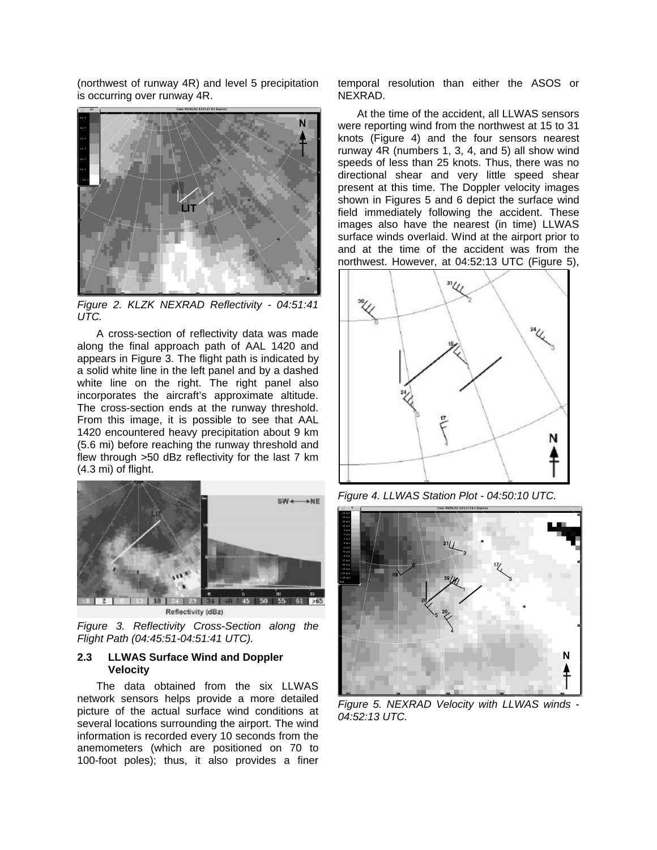(northwest of runway 4R) and level 5 precipitation is occurring over runway 4R.



*Figure 2. KLZK NEXRAD Reflectivity - 04:51:41 UTC.*

A cross-section of reflectivity data was made along the final approach path of AAL 1420 and appears in Figure 3. The flight path is indicated by a solid white line in the left panel and by a dashed white line on the right. The right panel also incorporates the aircraft's approximate altitude. The cross-section ends at the runway threshold. From this image, it is possible to see that AAL 1420 encountered heavy precipitation about 9 km (5.6 mi) before reaching the runway threshold and flew through >50 dBz reflectivity for the last 7 km (4.3 mi) of flight.



Reflectivity (dBz)

*Figure 3. Reflectivity Cross-Section along the Flight Path (04:45:51-04:51:41 UTC).*

## **2.3 LLWAS Surface Wind and Doppler Velocity**

The data obtained from the six LLWAS network sensors helps provide a more detailed picture of the actual surface wind conditions at several locations surrounding the airport. The wind information is recorded every 10 seconds from the anemometers (which are positioned on 70 to 100-foot poles); thus, it also provides a finer

temporal resolution than either the ASOS or NEXRAD.

At the time of the accident, all LLWAS sensors were reporting wind from the northwest at 15 to 31 knots (Figure 4) and the four sensors nearest runway 4R (numbers 1, 3, 4, and 5) all show wind speeds of less than 25 knots. Thus, there was no directional shear and very little speed shear present at this time. The Doppler velocity images shown in Figures 5 and 6 depict the surface wind field immediately following the accident. These images also have the nearest (in time) LLWAS surface winds overlaid. Wind at the airport prior to and at the time of the accident was from the northwest. However, at 04:52:13 UTC (Figure 5),



*Figure 4. LLWAS Station Plot - 04:50:10 UTC.*



*Figure 5. NEXRAD Velocity with LLWAS winds - 04:52:13 UTC.*